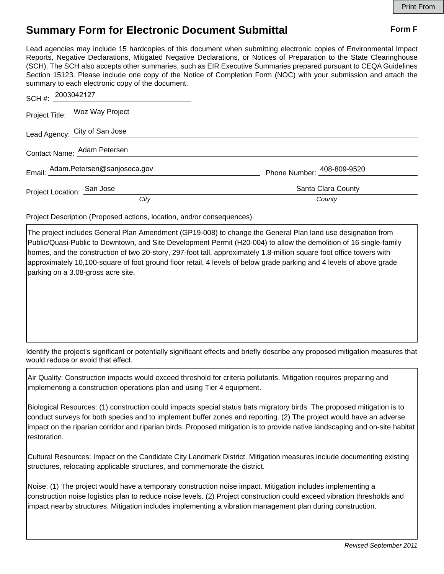## **Summary Form for Electronic Document Submittal Form F Form F**

Lead agencies may include 15 hardcopies of this document when submitting electronic copies of Environmental Impact Reports, Negative Declarations, Mitigated Negative Declarations, or Notices of Preparation to the State Clearinghouse (SCH). The SCH also accepts other summaries, such as EIR Executive Summaries prepared pursuant to CEQA Guidelines Section 15123. Please include one copy of the Notice of Completion Form (NOC) with your submission and attach the summary to each electronic copy of the document.

| SCH #: $2003042127$                |                            |
|------------------------------------|----------------------------|
| Project Title: Woz Way Project     |                            |
| Lead Agency: City of San Jose      |                            |
| Contact Name: Adam Petersen        |                            |
| Email: Adam.Petersen@sanjoseca.gov | Phone Number: 408-809-9520 |
| Project Location: San Jose         | Santa Clara County         |
| City                               | County                     |

Project Description (Proposed actions, location, and/or consequences).

The project includes General Plan Amendment (GP19-008) to change the General Plan land use designation from Public/Quasi-Public to Downtown, and Site Development Permit (H20-004) to allow the demolition of 16 single-family homes, and the construction of two 20-story, 297-foot tall, approximately 1.8-million square foot office towers with approximately 10,100-square of foot ground floor retail, 4 levels of below grade parking and 4 levels of above grade parking on a 3.08-gross acre site.

Identify the project's significant or potentially significant effects and briefly describe any proposed mitigation measures that would reduce or avoid that effect.

Air Quality: Construction impacts would exceed threshold for criteria pollutants. Mitigation requires preparing and implementing a construction operations plan and using Tier 4 equipment.

Biological Resources: (1) construction could impacts special status bats migratory birds. The proposed mitigation is to conduct surveys for both species and to implement buffer zones and reporting. (2) The project would have an adverse impact on the riparian corridor and riparian birds. Proposed mitigation is to provide native landscaping and on-site habitat restoration.

Cultural Resources: Impact on the Candidate City Landmark District. Mitigation measures include documenting existing structures, relocating applicable structures, and commemorate the district.

Noise: (1) The project would have a temporary construction noise impact. Mitigation includes implementing a construction noise logistics plan to reduce noise levels. (2) Project construction could exceed vibration thresholds and impact nearby structures. Mitigation includes implementing a vibration management plan during construction.